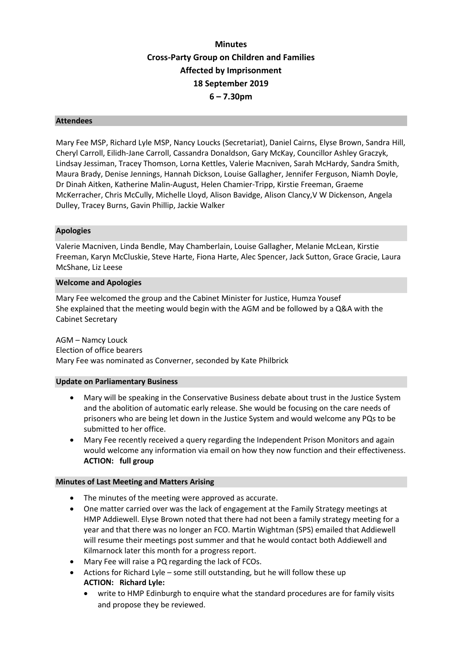# **Minutes Cross-Party Group on Children and Families Affected by Imprisonment 18 September 2019 6 – 7.30pm**

#### **Attendees**

Mary Fee MSP, Richard Lyle MSP, Nancy Loucks (Secretariat), Daniel Cairns, Elyse Brown, Sandra Hill, Cheryl Carroll, Eilidh-Jane Carroll, Cassandra Donaldson, Gary McKay, Councillor Ashley Graczyk, Lindsay Jessiman, Tracey Thomson, Lorna Kettles, Valerie Macniven, Sarah McHardy, Sandra Smith, Maura Brady, Denise Jennings, Hannah Dickson, Louise Gallagher, Jennifer Ferguson, Niamh Doyle, Dr Dinah Aitken, Katherine Malin-August, Helen Chamier-Tripp, Kirstie Freeman, Graeme McKerracher, Chris McCully, Michelle Lloyd, Alison Bavidge, Alison Clancy,V W Dickenson, Angela Dulley, Tracey Burns, Gavin Phillip, Jackie Walker

#### **Apologies**

Valerie Macniven, Linda Bendle, May Chamberlain, Louise Gallagher, Melanie McLean, Kirstie Freeman, Karyn McCluskie, Steve Harte, Fiona Harte, Alec Spencer, Jack Sutton, Grace Gracie, Laura McShane, Liz Leese

#### **Welcome and Apologies**

Mary Fee welcomed the group and the Cabinet Minister for Justice, Humza Yousef She explained that the meeting would begin with the AGM and be followed by a Q&A with the Cabinet Secretary

AGM – Namcy Louck Election of office bearers Mary Fee was nominated as Converner, seconded by Kate Philbrick

#### **Update on Parliamentary Business**

- Mary will be speaking in the Conservative Business debate about trust in the Justice System and the abolition of automatic early release. She would be focusing on the care needs of prisoners who are being let down in the Justice System and would welcome any PQs to be submitted to her office.
- Mary Fee recently received a query regarding the Independent Prison Monitors and again would welcome any information via email on how they now function and their effectiveness. **ACTION: full group**

### **Minutes of Last Meeting and Matters Arising**

- The minutes of the meeting were approved as accurate.
- One matter carried over was the lack of engagement at the Family Strategy meetings at HMP Addiewell. Elyse Brown noted that there had not been a family strategy meeting for a year and that there was no longer an FCO. Martin Wightman (SPS) emailed that Addiewell will resume their meetings post summer and that he would contact both Addiewell and Kilmarnock later this month for a progress report.
- Mary Fee will raise a PQ regarding the lack of FCOs.
- Actions for Richard Lyle some still outstanding, but he will follow these up **ACTION: Richard Lyle:**
	- write to HMP Edinburgh to enquire what the standard procedures are for family visits and propose they be reviewed.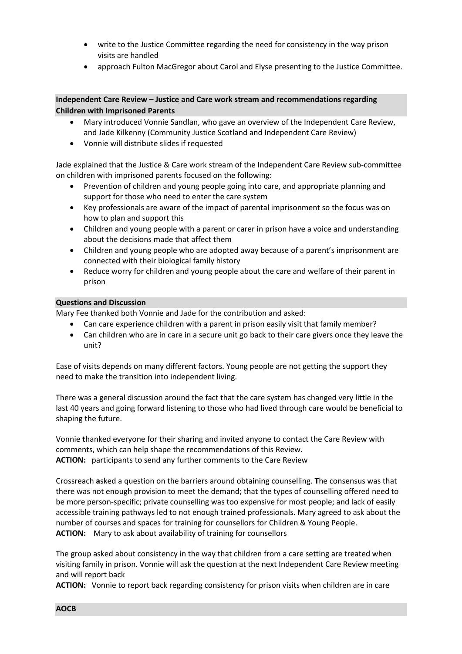- write to the Justice Committee regarding the need for consistency in the way prison visits are handled
- approach Fulton MacGregor about Carol and Elyse presenting to the Justice Committee.

## **Independent Care Review – Justice and Care work stream and recommendations regarding Children with Imprisoned Parents**

- Mary introduced Vonnie Sandlan, who gave an overview of the Independent Care Review, and Jade Kilkenny (Community Justice Scotland and Independent Care Review)
- Vonnie will distribute slides if requested

Jade explained that the Justice & Care work stream of the Independent Care Review sub-committee on children with imprisoned parents focused on the following:

- Prevention of children and young people going into care, and appropriate planning and support for those who need to enter the care system
- Key professionals are aware of the impact of parental imprisonment so the focus was on how to plan and support this
- Children and young people with a parent or carer in prison have a voice and understanding about the decisions made that affect them
- Children and young people who are adopted away because of a parent's imprisonment are connected with their biological family history
- Reduce worry for children and young people about the care and welfare of their parent in prison

### **Questions and Discussion**

Mary Fee thanked both Vonnie and Jade for the contribution and asked:

- Can care experience children with a parent in prison easily visit that family member?
- Can children who are in care in a secure unit go back to their care givers once they leave the unit?

Ease of visits depends on many different factors. Young people are not getting the support they need to make the transition into independent living.

There was a general discussion around the fact that the care system has changed very little in the last 40 years and going forward listening to those who had lived through care would be beneficial to shaping the future.

Vonnie **t**hanked everyone for their sharing and invited anyone to contact the Care Review with comments, which can help shape the recommendations of this Review. **ACTION:** participants to send any further comments to the Care Review

Crossreach **a**sked a question on the barriers around obtaining counselling. **T**he consensus was that there was not enough provision to meet the demand; that the types of counselling offered need to be more person-specific; private counselling was too expensive for most people; and lack of easily accessible training pathways led to not enough trained professionals. Mary agreed to ask about the number of courses and spaces for training for counsellors for Children & Young People. **ACTION:** Mary to ask about availability of training for counsellors

The group asked about consistency in the way that children from a care setting are treated when visiting family in prison. Vonnie will ask the question at the next Independent Care Review meeting and will report back

**ACTION:** Vonnie to report back regarding consistency for prison visits when children are in care